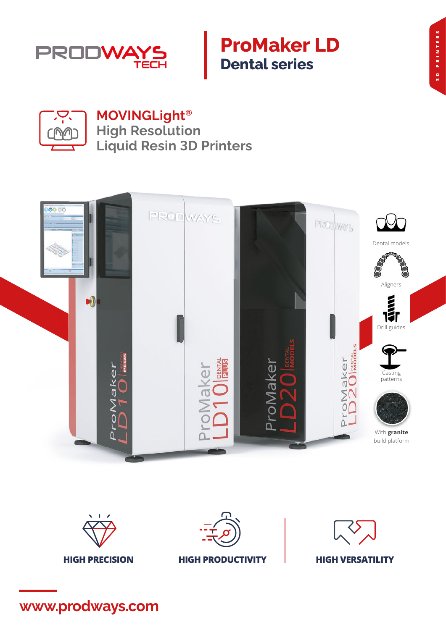

## **ProMaker LD Dental series**



**MOVINGLight® High Resolution Liquid Resin 3D Printers**





**www.prodways.com**